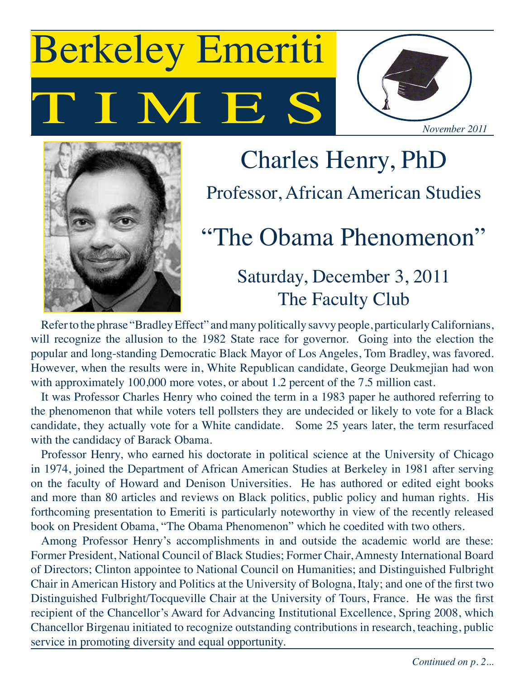# T M E Berkeley Emeriti





# Charles Henry, PhD Professor, African American Studies "The Obama Phenomenon"

## Saturday, December 3, 2011 The Faculty Club

Refer to the phrase "Bradley Effect" and many politically savvy people, particularly Californians, will recognize the allusion to the 1982 State race for governor. Going into the election the popular and long-standing Democratic Black Mayor of Los Angeles, Tom Bradley, was favored. However, when the results were in, White Republican candidate, George Deukmejian had won with approximately 100,000 more votes, or about 1.2 percent of the 7.5 million cast.

It was Professor Charles Henry who coined the term in a 1983 paper he authored referring to the phenomenon that while voters tell pollsters they are undecided or likely to vote for a Black candidate, they actually vote for a White candidate. Some 25 years later, the term resurfaced with the candidacy of Barack Obama.

Professor Henry, who earned his doctorate in political science at the University of Chicago in 1974, joined the Department of African American Studies at Berkeley in 1981 after serving on the faculty of Howard and Denison Universities. He has authored or edited eight books and more than 80 articles and reviews on Black politics, public policy and human rights. His forthcoming presentation to Emeriti is particularly noteworthy in view of the recently released book on President Obama, "The Obama Phenomenon" which he coedited with two others.

Among Professor Henry's accomplishments in and outside the academic world are these: Former President, National Council of Black Studies; Former Chair, Amnesty International Board of Directors; Clinton appointee to National Council on Humanities; and Distinguished Fulbright Chair in American History and Politics at the University of Bologna, Italy; and one of the first two Distinguished Fulbright/Tocqueville Chair at the University of Tours, France. He was the first recipient of the Chancellor's Award for Advancing Institutional Excellence, Spring 2008, which Chancellor Birgenau initiated to recognize outstanding contributions in research, teaching, public service in promoting diversity and equal opportunity.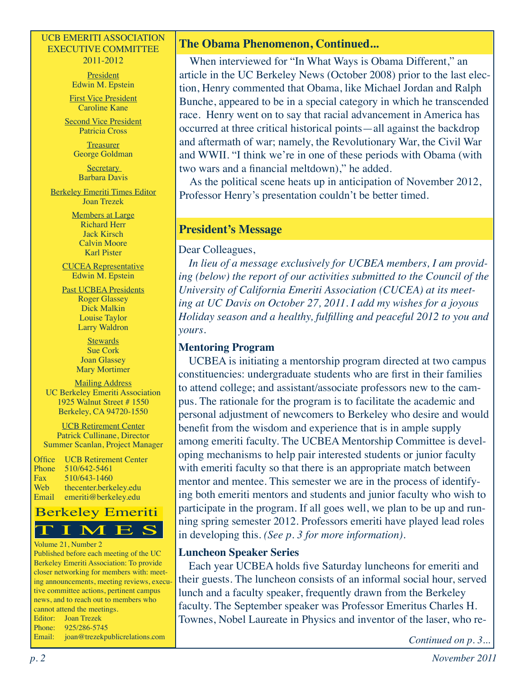#### UCB EMERITI ASSOCIATION EXECUTIVE COMMITTEE 2011-2012

**President** Edwin M. Epstein

First Vice President Caroline Kane

Second Vice President Patricia Cross

> **Treasurer** George Goldman

**Secretary** Barbara Davis

Berkeley Emeriti Times Editor Joan Trezek

> Members at Large Richard Herr Jack Kirsch Calvin Moore Karl Pister

CUCEA Representative Edwin M. Epstein

Past UCBEA Presidents Roger Glassey Dick Malkin Louise Taylor Larry Waldron

> **Stewards** Sue Cork Joan Glassey Mary Mortimer

Mailing Address UC Berkeley Emeriti Association 1925 Walnut Street # 1550 Berkeley, CA 94720-1550

UCB Retirement Center Patrick Cullinane, Director Summer Scanlan, Project Manager

Office UCB Retirement Center Phone 510/642-5461 Fax 510/643-1460 Web thecenter.berkeley.edu Email emeriti@berkeley.edu

### Berkeley Emeriti<br>T I M E S Berkeley Emeriti

#### Volume 21, Number 2

Published before each meeting of the UC Berkeley Emeriti Association: To provide closer networking for members with: meeting announcements, meeting reviews, executive committee actions, pertinent campus news, and to reach out to members who cannot attend the meetings. Editor: Joan Trezek Phone: 925/286-5745 Email: joan@trezekpublicrelations.com

#### **The Obama Phenomenon, Continued...**

When interviewed for "In What Ways is Obama Different," an article in the UC Berkeley News (October 2008) prior to the last election, Henry commented that Obama, like Michael Jordan and Ralph Bunche, appeared to be in a special category in which he transcended race. Henry went on to say that racial advancement in America has occurred at three critical historical points—all against the backdrop and aftermath of war; namely, the Revolutionary War, the Civil War and WWII. "I think we're in one of these periods with Obama (with two wars and a financial meltdown)," he added.

As the political scene heats up in anticipation of November 2012, Professor Henry's presentation couldn't be better timed.

#### **President's Message**

Dear Colleagues,

*In lieu of a message exclusively for UCBEA members, I am providing (below) the report of our activities submitted to the Council of the University of California Emeriti Association (CUCEA) at its meeting at UC Davis on October 27, 2011. I add my wishes for a joyous Holiday season and a healthy, fulfilling and peaceful 2012 to you and yours.*

#### **Mentoring Program**

UCBEA is initiating a mentorship program directed at two campus constituencies: undergraduate students who are first in their families to attend college; and assistant/associate professors new to the campus. The rationale for the program is to facilitate the academic and personal adjustment of newcomers to Berkeley who desire and would benefit from the wisdom and experience that is in ample supply among emeriti faculty. The UCBEA Mentorship Committee is developing mechanisms to help pair interested students or junior faculty with emeriti faculty so that there is an appropriate match between mentor and mentee. This semester we are in the process of identifying both emeriti mentors and students and junior faculty who wish to participate in the program. If all goes well, we plan to be up and running spring semester 2012. Professors emeriti have played lead roles in developing this. *(See p. 3 for more information).*

#### **Luncheon Speaker Series**

Each year UCBEA holds five Saturday luncheons for emeriti and their guests. The luncheon consists of an informal social hour, served lunch and a faculty speaker, frequently drawn from the Berkeley faculty. The September speaker was Professor Emeritus Charles H. Townes, Nobel Laureate in Physics and inventor of the laser, who re-

*Continued on p. 3...*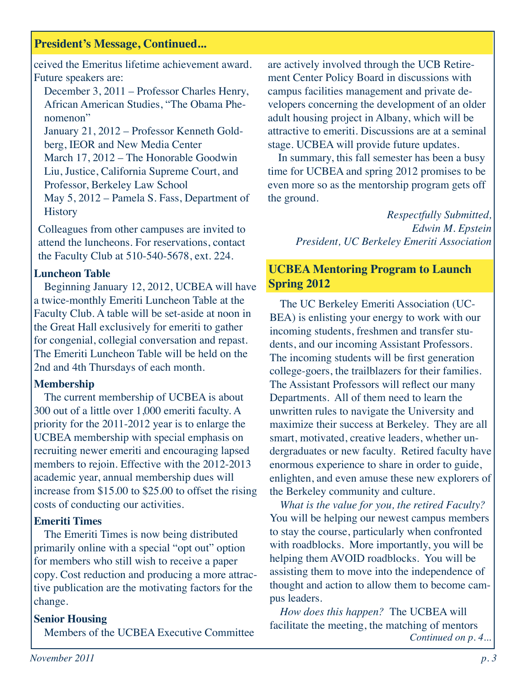#### **President's Message, Continued...**

ceived the Emeritus lifetime achievement award. Future speakers are:

December 3, 2011 – Professor Charles Henry, African American Studies, "The Obama Phenomenon"

January 21, 2012 – Professor Kenneth Goldberg, IEOR and New Media Center March 17, 2012 – The Honorable Goodwin Liu, Justice, California Supreme Court, and Professor, Berkeley Law School May 5, 2012 – Pamela S. Fass, Department of **History** 

Colleagues from other campuses are invited to attend the luncheons. For reservations, contact the Faculty Club at 510-540-5678, ext. 224.

#### **Luncheon Table**

Beginning January 12, 2012, UCBEA will have a twice-monthly Emeriti Luncheon Table at the Faculty Club. A table will be set-aside at noon in the Great Hall exclusively for emeriti to gather for congenial, collegial conversation and repast. The Emeriti Luncheon Table will be held on the 2nd and 4th Thursdays of each month.

#### **Membership**

The current membership of UCBEA is about 300 out of a little over 1,000 emeriti faculty. A priority for the 2011-2012 year is to enlarge the UCBEA membership with special emphasis on recruiting newer emeriti and encouraging lapsed members to rejoin. Effective with the 2012-2013 academic year, annual membership dues will increase from \$15.00 to \$25.00 to offset the rising costs of conducting our activities.

#### **Emeriti Times**

The Emeriti Times is now being distributed primarily online with a special "opt out" option for members who still wish to receive a paper copy. Cost reduction and producing a more attractive publication are the motivating factors for the change.

#### **Senior Housing**

Members of the UCBEA Executive Committee

are actively involved through the UCB Retirement Center Policy Board in discussions with campus facilities management and private developers concerning the development of an older adult housing project in Albany, which will be attractive to emeriti. Discussions are at a seminal stage. UCBEA will provide future updates.

In summary, this fall semester has been a busy time for UCBEA and spring 2012 promises to be even more so as the mentorship program gets off the ground.

> *Respectfully Submitted, Edwin M. Epstein President, UC Berkeley Emeriti Association*

#### **UCBEA Mentoring Program to Launch Spring 2012**

The UC Berkeley Emeriti Association (UC-BEA) is enlisting your energy to work with our incoming students, freshmen and transfer students, and our incoming Assistant Professors. The incoming students will be first generation college-goers, the trailblazers for their families. The Assistant Professors will reflect our many Departments. All of them need to learn the unwritten rules to navigate the University and maximize their success at Berkeley. They are all smart, motivated, creative leaders, whether undergraduates or new faculty. Retired faculty have enormous experience to share in order to guide, enlighten, and even amuse these new explorers of the Berkeley community and culture.

*What is the value for you, the retired Faculty?*  You will be helping our newest campus members to stay the course, particularly when confronted with roadblocks. More importantly, you will be helping them AVOID roadblocks. You will be assisting them to move into the independence of thought and action to allow them to become campus leaders.

*How does this happen?* The UCBEA will facilitate the meeting, the matching of mentors *Continued on p. 4...*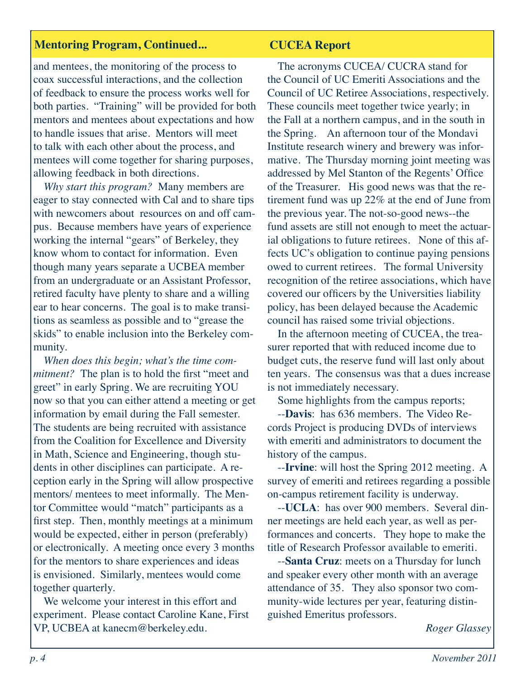#### **Mentoring Program, Continued... CUCEA Report**

and mentees, the monitoring of the process to coax successful interactions, and the collection of feedback to ensure the process works well for both parties. "Training" will be provided for both mentors and mentees about expectations and how to handle issues that arise. Mentors will meet to talk with each other about the process, and mentees will come together for sharing purposes, allowing feedback in both directions.

*Why start this program?* Many members are eager to stay connected with Cal and to share tips with new comers about resources on and off campus. Because members have years of experience working the internal "gears" of Berkeley, they know whom to contact for information. Even though many years separate a UCBEA member from an undergraduate or an Assistant Professor, retired faculty have plenty to share and a willing ear to hear concerns. The goal is to make transitions as seamless as possible and to "grease the skids" to enable inclusion into the Berkeley community.

*When does this begin; what's the time commitment?* The plan is to hold the first "meet and greet" in early Spring. We are recruiting YOU now so that you can either attend a meeting or get information by email during the Fall semester. The students are being recruited with assistance from the Coalition for Excellence and Diversity in Math, Science and Engineering, though students in other disciplines can participate. A reception early in the Spring will allow prospective mentors/ mentees to meet informally. The Mentor Committee would "match" participants as a first step. Then, monthly meetings at a minimum would be expected, either in person (preferably) or electronically. A meeting once every 3 months for the mentors to share experiences and ideas is envisioned. Similarly, mentees would come together quarterly.

We welcome your interest in this effort and experiment. Please contact Caroline Kane, First VP, UCBEA at kanecm@berkeley.edu.

The acronyms CUCEA/ CUCRA stand for the Council of UC Emeriti Associations and the Council of UC Retiree Associations, respectively. These councils meet together twice yearly; in the Fall at a northern campus, and in the south in the Spring. An afternoon tour of the Mondavi Institute research winery and brewery was informative. The Thursday morning joint meeting was addressed by Mel Stanton of the Regents' Office of the Treasurer. His good news was that the retirement fund was up 22% at the end of June from the previous year. The not-so-good news--the fund assets are still not enough to meet the actuarial obligations to future retirees. None of this affects UC's obligation to continue paying pensions owed to current retirees. The formal University recognition of the retiree associations, which have covered our officers by the Universities liability policy, has been delayed because the Academic council has raised some trivial objections.

In the afternoon meeting of CUCEA, the treasurer reported that with reduced income due to budget cuts, the reserve fund will last only about ten years. The consensus was that a dues increase is not immediately necessary.

Some highlights from the campus reports;

--**Davis**: has 636 members. The Video Records Project is producing DVDs of interviews with emeriti and administrators to document the history of the campus.

--**Irvine**: will host the Spring 2012 meeting. A survey of emeriti and retirees regarding a possible on-campus retirement facility is underway.

--**UCLA**: has over 900 members. Several dinner meetings are held each year, as well as performances and concerts. They hope to make the title of Research Professor available to emeriti.

--**Santa Cruz**: meets on a Thursday for lunch and speaker every other month with an average attendance of 35. They also sponsor two community-wide lectures per year, featuring distinguished Emeritus professors.

*Roger Glassey*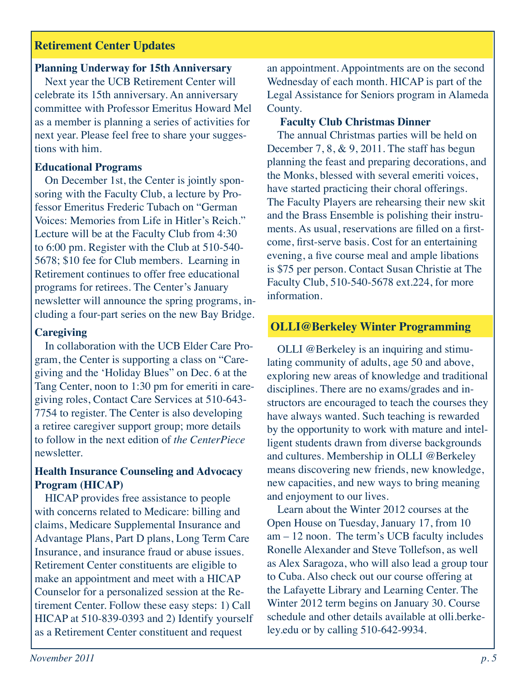#### **Retirement Center Updates**

#### **Planning Underway for 15th Anniversary**

Next year the UCB Retirement Center will celebrate its 15th anniversary. An anniversary committee with Professor Emeritus Howard Mel as a member is planning a series of activities for next year. Please feel free to share your suggestions with him.

#### **Educational Programs**

On December 1st, the Center is jointly sponsoring with the Faculty Club, a lecture by Professor Emeritus Frederic Tubach on "German Voices: Memories from Life in Hitler's Reich." Lecture will be at the Faculty Club from 4:30 to 6:00 pm. Register with the Club at 510-540- 5678; \$10 fee for Club members. Learning in Retirement continues to offer free educational programs for retirees. The Center's January newsletter will announce the spring programs, including a four-part series on the new Bay Bridge.

#### **Caregiving**

In collaboration with the UCB Elder Care Program, the Center is supporting a class on "Caregiving and the 'Holiday Blues" on Dec. 6 at the Tang Center, noon to 1:30 pm for emeriti in caregiving roles, Contact Care Services at 510-643- 7754 to register. The Center is also developing a retiree caregiver support group; more details to follow in the next edition of *the CenterPiece*  newsletter.

#### **Health Insurance Counseling and Advocacy Program (HICAP)**

HICAP provides free assistance to people with concerns related to Medicare: billing and claims, Medicare Supplemental Insurance and Advantage Plans, Part D plans, Long Term Care Insurance, and insurance fraud or abuse issues. Retirement Center constituents are eligible to make an appointment and meet with a HICAP Counselor for a personalized session at the Retirement Center. Follow these easy steps: 1) Call HICAP at 510-839-0393 and 2) Identify yourself as a Retirement Center constituent and request

an appointment. Appointments are on the second Wednesday of each month. HICAP is part of the Legal Assistance for Seniors program in Alameda County.

#### **Faculty Club Christmas Dinner**

The annual Christmas parties will be held on December 7, 8, & 9, 2011. The staff has begun planning the feast and preparing decorations, and the Monks, blessed with several emeriti voices, have started practicing their choral offerings. The Faculty Players are rehearsing their new skit and the Brass Ensemble is polishing their instruments. As usual, reservations are filled on a firstcome, first-serve basis. Cost for an entertaining evening, a five course meal and ample libations is \$75 per person. Contact Susan Christie at The Faculty Club, 510-540-5678 ext.224, for more information.

#### **OLLI@Berkeley Winter Programming**

OLLI @Berkeley is an inquiring and stimulating community of adults, age 50 and above, exploring new areas of knowledge and traditional disciplines. There are no exams/grades and instructors are encouraged to teach the courses they have always wanted. Such teaching is rewarded by the opportunity to work with mature and intelligent students drawn from diverse backgrounds and cultures. Membership in OLLI @Berkeley means discovering new friends, new knowledge, new capacities, and new ways to bring meaning and enjoyment to our lives.

Learn about the Winter 2012 courses at the Open House on Tuesday, January 17, from 10 am – 12 noon. The term's UCB faculty includes Ronelle Alexander and Steve Tollefson, as well as Alex Saragoza, who will also lead a group tour to Cuba. Also check out our course offering at the Lafayette Library and Learning Center. The Winter 2012 term begins on January 30. Course schedule and other details available at olli.berkeley.edu or by calling 510-642-9934.